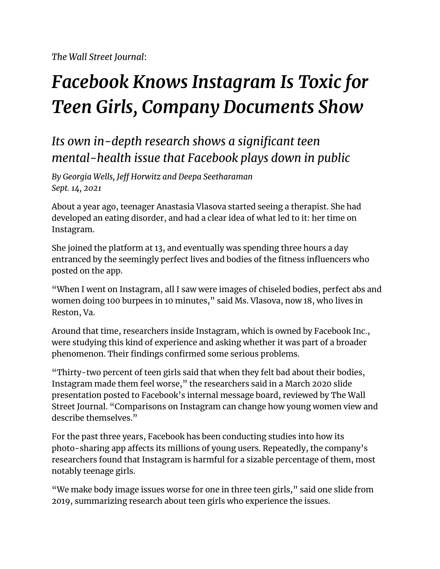# *Facebook Knows Instagram Is Toxic for Teen Girls, Company Documents Show*

### *Its own in-depth research shows a significant teen mental-health issue that Facebook plays down in public*

*By Georgia Wells, Jeff Horwitz and Deepa Seetharaman Sept. 14, 2021*

About a year ago, teenager Anastasia Vlasova started seeing a therapist. She had developed an eating disorder, and had a clear idea of what led to it: her time on Instagram.

She joined the platform at 13, and eventually was spending three hours a day entranced by the seemingly perfect lives and bodies of the fitness influencers who posted on the app.

"When I went on Instagram, all I saw were images of chiseled bodies, perfect abs and women doing 100 burpees in 10 minutes," said Ms. Vlasova, now 18, who lives in Reston, Va.

Around that time, researchers inside Instagram, which is owned by Facebook Inc., were studying this kind of experience and asking whether it was part of a broader phenomenon. Their findings confirmed some serious problems.

"Thirty-two percent of teen girls said that when they felt bad about their bodies, Instagram made them feel worse," the researchers said in a March 2020 slide presentation posted to Facebook's internal message board, reviewed by The Wall Street Journal. "Comparisons on Instagram can change how young women view and describe themselves."

For the past three years, Facebook has been conducting studies into how its photo-sharing app affects its millions of young users. Repeatedly, the company's researchers found that Instagram is harmful for a sizable percentage of them, most notably teenage girls.

"We make body image issues worse for one in three teen girls," said one slide from 2019, summarizing research about teen girls who experience the issues.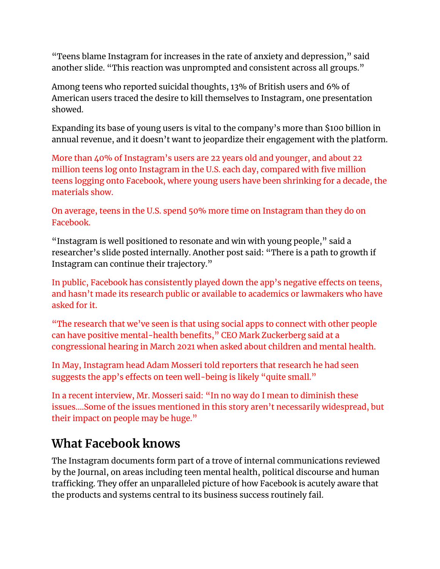"Teens blame Instagram for increases in the rate of anxiety and depression," said another slide. "This reaction was unprompted and consistent across all groups."

Among teens who reported suicidal thoughts, 13% of British users and 6% of American users traced the desire to kill themselves to Instagram, one presentation showed.

Expanding its base of young users is vital to the company's more than \$100 billion in annual revenue, and it doesn't want to jeopardize their engagement with the platform.

More than 40% of Instagram's users are 22 years old and younger, and about 22 million teens log onto Instagram in the U.S. each day, compared with five million teens logging onto Facebook, where young users have been shrinking for a decade, the materials show.

On average, teens in the U.S. spend 50% more time on Instagram than they do on Facebook.

"Instagram is well positioned to resonate and win with young people," said a researcher's slide posted internally. Another post said: "There is a path to growth if Instagram can continue their trajectory."

In public, Facebook has consistently played down the app's negative effects on teens, and hasn't made its research public or available to academics or lawmakers who have asked for it.

"The research that we've seen is that using social apps to connect with other people can have positive mental-health benefits," CEO Mark Zuckerberg said at a congressional hearing in March 2021 when asked about children and mental health.

In May, Instagram head Adam Mosseri told reporters that research he had seen suggests the app's effects on teen well-being is likely "quite small."

In a recent interview, Mr. Mosseri said: "In no way do I mean to diminish these issues.…Some of the issues mentioned in this story aren't necessarily widespread, but their impact on people may be huge."

#### **What Facebook knows**

The Instagram documents form part of a trove of internal communications reviewed by the Journal, on areas including teen mental health, political discourse and human trafficking. They offer an unparalleled picture of how Facebook is acutely aware that the products and systems central to its business success routinely fail.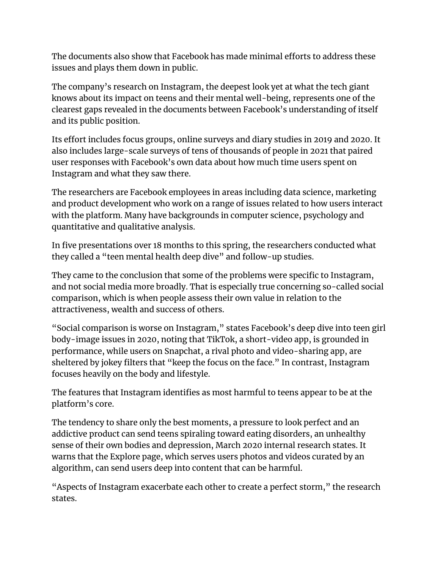The documents also show that Facebook has made minimal efforts to address these issues and plays them down in public.

The company's research on Instagram, the deepest look yet at what the tech giant knows about its impact on teens and their mental well-being, represents one of the clearest gaps revealed in the documents between Facebook's understanding of itself and its public position.

Its effort includes focus groups, online surveys and diary studies in 2019 and 2020. It also includes large-scale surveys of tens of thousands of people in 2021 that paired user responses with Facebook's own data about how much time users spent on Instagram and what they saw there.

The researchers are Facebook employees in areas including data science, marketing and product development who work on a range of issues related to how users interact with the platform. Many have backgrounds in computer science, psychology and quantitative and qualitative analysis.

In five presentations over 18 months to this spring, the researchers conducted what they called a "teen mental health deep dive" and follow-up studies.

They came to the conclusion that some of the problems were specific to Instagram, and not social media more broadly. That is especially true concerning so-called social comparison, which is when people assess their own value in relation to the attractiveness, wealth and success of others.

"Social comparison is worse on Instagram," states Facebook's deep dive into teen girl body-image issues in 2020, noting that TikTok, a short-video app, is grounded in performance, while users on Snapchat, a rival photo and video-sharing app, are sheltered by jokey filters that "keep the focus on the face." In contrast, Instagram focuses heavily on the body and lifestyle.

The features that Instagram identifies as most harmful to teens appear to be at the platform's core.

The tendency to share only the best moments, a pressure to look perfect and an addictive product can send teens spiraling toward eating disorders, an unhealthy sense of their own bodies and depression, March 2020 internal research states. It warns that the Explore page, which serves users photos and videos curated by an algorithm, can send users deep into content that can be harmful.

"Aspects of Instagram exacerbate each other to create a perfect storm," the research states.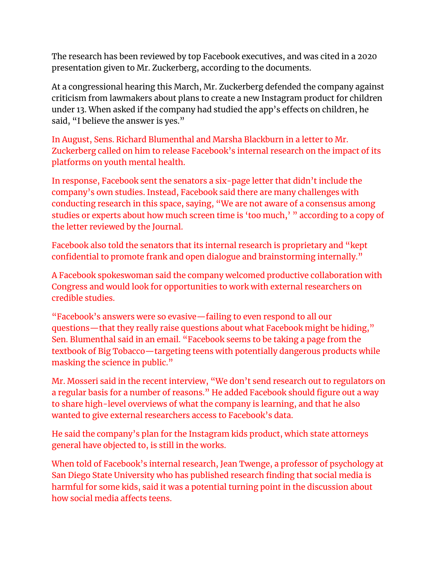The research has been reviewed by top Facebook executives, and was cited in a 2020 presentation given to Mr. Zuckerberg, according to the documents.

At a congressional hearing this March, Mr. Zuckerberg defended the company against criticism from lawmakers about plans to create a new Instagram product for children under 13. When asked if the company had studied the app's effects on children, he said, "I believe the answer is yes."

In August, Sens. Richard Blumenthal and Marsha Blackburn in a letter to Mr. Zuckerberg called on him to release Facebook's internal research on the impact of its platforms on youth mental health.

In response, Facebook sent the senators a six-page letter that didn't include the company's own studies. Instead, Facebook said there are many challenges with conducting research in this space, saying, "We are not aware of a consensus among studies or experts about how much screen time is 'too much,' " according to a copy of the letter reviewed by the Journal.

Facebook also told the senators that its internal research is proprietary and "kept confidential to promote frank and open dialogue and brainstorming internally."

A Facebook spokeswoman said the company welcomed productive collaboration with Congress and would look for opportunities to work with external researchers on credible studies.

"Facebook's answers were so evasive—failing to even respond to all our questions—that they really raise questions about what Facebook might be hiding," Sen. Blumenthal said in an email. "Facebook seems to be taking a page from the textbook of Big Tobacco—targeting teens with potentially dangerous products while masking the science in public."

Mr. Mosseri said in the recent interview, "We don't send research out to regulators on a regular basis for a number of reasons." He added Facebook should figure out a way to share high-level overviews of what the company is learning, and that he also wanted to give external researchers access to Facebook's data.

He said the company's plan for the Instagram kids product, which state attorneys general have objected to, is still in the works.

When told of Facebook's internal research, Jean Twenge, a professor of psychology at San Diego State University who has published research finding that social media is harmful for some kids, said it was a potential turning point in the discussion about how social media affects teens.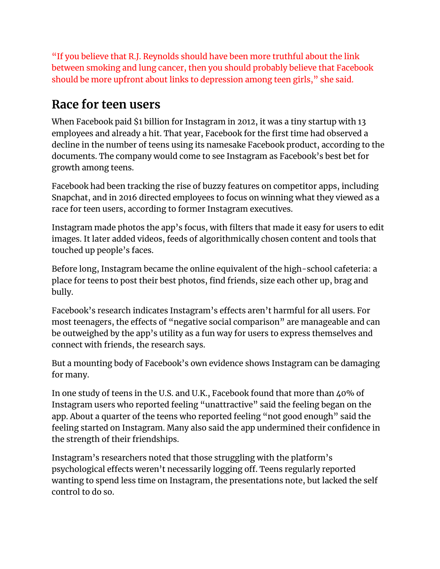"If you believe that R.J. Reynolds should have been more truthful about the link between smoking and lung cancer, then you should probably believe that Facebook should be more upfront about links to depression among teen girls," she said.

### **Race for teen users**

When Facebook paid \$1 billion for Instagram in 2012, it was a tiny startup with 13 employees and already a hit. That year, Facebook for the first time had observed a decline in the number of teens using its namesake Facebook product, according to the documents. The company would come to see Instagram as Facebook's best bet for growth among teens.

Facebook had been tracking the rise of buzzy features on competitor apps, including Snapchat, and in 2016 directed employees to focus on winning what they viewed as a race for teen users, according to former Instagram executives.

Instagram made photos the app's focus, with filters that made it easy for users to edit images. It later added videos, feeds of algorithmically chosen content and tools that touched up people's faces.

Before long, Instagram became the online equivalent of the high-school cafeteria: a place for teens to post their best photos, find friends, size each other up, brag and bully.

Facebook's research indicates Instagram's effects aren't harmful for all users. For most teenagers, the effects of "negative social comparison" are manageable and can be outweighed by the app's utility as a fun way for users to express themselves and connect with friends, the research says.

But a mounting body of Facebook's own evidence shows Instagram can be damaging for many.

In one study of teens in the U.S. and U.K., Facebook found that more than 40% of Instagram users who reported feeling "unattractive" said the feeling began on the app. About a quarter of the teens who reported feeling "not good enough" said the feeling started on Instagram. Many also said the app undermined their confidence in the strength of their friendships.

Instagram's researchers noted that those struggling with the platform's psychological effects weren't necessarily logging off. Teens regularly reported wanting to spend less time on Instagram, the presentations note, but lacked the self control to do so.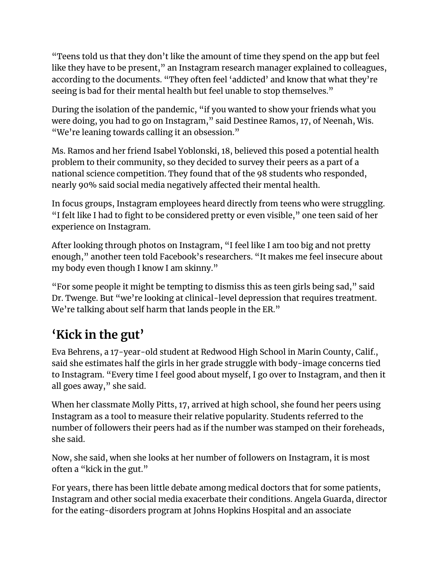"Teens told us that they don't like the amount of time they spend on the app but feel like they have to be present," an Instagram research manager explained to colleagues, according to the documents. "They often feel 'addicted' and know that what they're seeing is bad for their mental health but feel unable to stop themselves."

During the isolation of the pandemic, "if you wanted to show your friends what you were doing, you had to go on Instagram," said Destinee Ramos, 17, of Neenah, Wis. "We're leaning towards calling it an obsession."

Ms. Ramos and her friend Isabel Yoblonski, 18, believed this posed a potential health problem to their community, so they decided to survey their peers as a part of a national science competition. They found that of the 98 students who responded, nearly 90% said social media negatively affected their mental health.

In focus groups, Instagram employees heard directly from teens who were struggling. "I felt like I had to fight to be considered pretty or even visible," one teen said of her experience on Instagram.

After looking through photos on Instagram, "I feel like I am too big and not pretty enough," another teen told Facebook's researchers. "It makes me feel insecure about my body even though I know I am skinny."

"For some people it might be tempting to dismiss this as teen girls being sad," said Dr. Twenge. But "we're looking at clinical-level depression that requires treatment. We're talking about self harm that lands people in the ER."

## **'Kick in the gut'**

Eva Behrens, a 17-year-old student at Redwood High School in Marin County, Calif., said she estimates half the girls in her grade struggle with body-image concerns tied to Instagram. "Every time I feel good about myself, I go over to Instagram, and then it all goes away," she said.

When her classmate Molly Pitts, 17, arrived at high school, she found her peers using Instagram as a tool to measure their relative popularity. Students referred to the number of followers their peers had as if the number was stamped on their foreheads, she said.

Now, she said, when she looks at her number of followers on Instagram, it is most often a "kick in the gut."

For years, there has been little debate among medical doctors that for some patients, Instagram and other social media exacerbate their conditions. Angela Guarda, director for the eating-disorders program at Johns Hopkins Hospital and an associate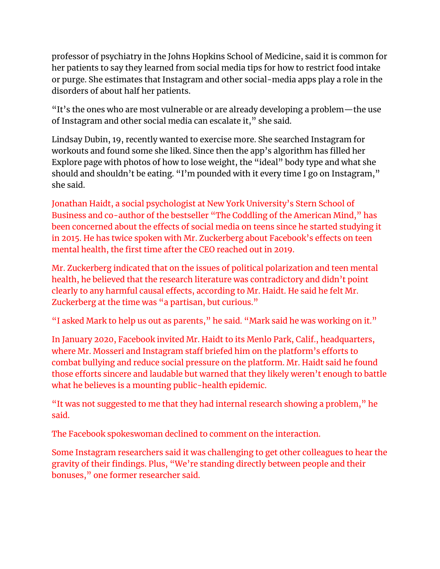professor of psychiatry in the Johns Hopkins School of Medicine, said it is common for her patients to say they learned from social media tips for how to restrict food intake or purge. She estimates that Instagram and other social-media apps play a role in the disorders of about half her patients.

"It's the ones who are most vulnerable or are already developing a problem—the use of Instagram and other social media can escalate it," she said.

Lindsay Dubin, 19, recently wanted to exercise more. She searched Instagram for workouts and found some she liked. Since then the app's algorithm has filled her Explore page with photos of how to lose weight, the "ideal" body type and what she should and shouldn't be eating. "I'm pounded with it every time I go on Instagram," she said.

Jonathan Haidt, a social psychologist at New York University's Stern School of Business and co-author of the bestseller "The Coddling of the American Mind," has been concerned about the effects of social media on teens since he started studying it in 2015. He has twice spoken with Mr. Zuckerberg about Facebook's effects on teen mental health, the first time after the CEO reached out in 2019.

Mr. Zuckerberg indicated that on the issues of political polarization and teen mental health, he believed that the research literature was contradictory and didn't point clearly to any harmful causal effects, according to Mr. Haidt. He said he felt Mr. Zuckerberg at the time was "a partisan, but curious."

"I asked Mark to help us out as parents," he said. "Mark said he was working on it."

In January 2020, Facebook invited Mr. Haidt to its Menlo Park, Calif., headquarters, where Mr. Mosseri and Instagram staff briefed him on the platform's efforts to combat bullying and reduce social pressure on the platform. Mr. Haidt said he found those efforts sincere and laudable but warned that they likely weren't enough to battle what he believes is a mounting public-health epidemic.

"It was not suggested to me that they had internal research showing a problem," he said.

The Facebook spokeswoman declined to comment on the interaction.

Some Instagram researchers said it was challenging to get other colleagues to hear the gravity of their findings. Plus, "We're standing directly between people and their bonuses," one former researcher said.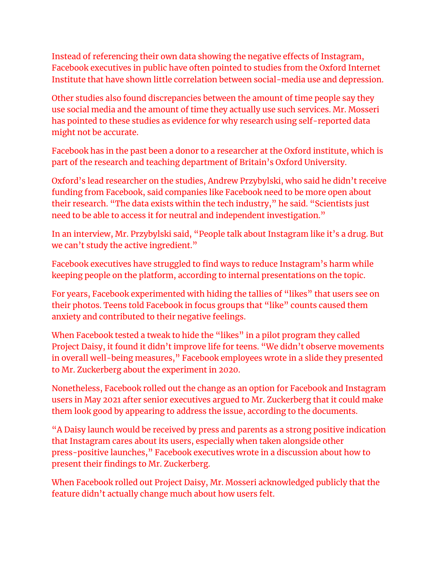Instead of referencing their own data showing the negative effects of Instagram, Facebook executives in public have often pointed to studies from the Oxford Internet Institute that have shown little correlation between social-media use and depression.

Other studies also found discrepancies between the amount of time people say they use social media and the amount of time they actually use such services. Mr. Mosseri has pointed to these studies as evidence for why research using self-reported data might not be accurate.

Facebook has in the past been a donor to a researcher at the Oxford institute, which is part of the research and teaching department of Britain's Oxford University.

Oxford's lead researcher on the studies, Andrew Przybylski, who said he didn't receive funding from Facebook, said companies like Facebook need to be more open about their research. "The data exists within the tech industry," he said. "Scientists just need to be able to access it for neutral and independent investigation."

In an interview, Mr. Przybylski said, "People talk about Instagram like it's a drug. But we can't study the active ingredient."

Facebook executives have struggled to find ways to reduce Instagram's harm while keeping people on the platform, according to internal presentations on the topic.

For years, Facebook experimented with hiding the tallies of "likes" that users see on their photos. Teens told Facebook in focus groups that "like" counts caused them anxiety and contributed to their negative feelings.

When Facebook tested a tweak to hide the "likes" in a pilot program they called Project Daisy, it found it didn't improve life for teens. "We didn't observe movements in overall well-being measures," Facebook employees wrote in a slide they presented to Mr. Zuckerberg about the experiment in 2020.

Nonetheless, Facebook rolled out the change as an option for Facebook and Instagram users in May 2021 after senior executives argued to Mr. Zuckerberg that it could make them look good by appearing to address the issue, according to the documents.

"A Daisy launch would be received by press and parents as a strong positive indication that Instagram cares about its users, especially when taken alongside other press-positive launches," Facebook executives wrote in a discussion about how to present their findings to Mr. Zuckerberg.

When Facebook rolled out Project Daisy, Mr. Mosseri acknowledged publicly that the feature didn't actually change much about how users felt.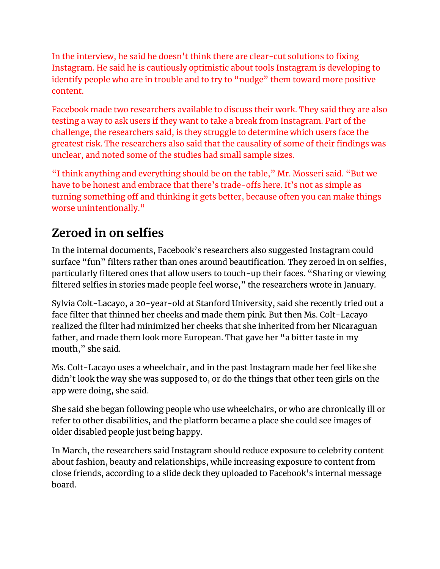In the interview, he said he doesn't think there are clear-cut solutions to fixing Instagram. He said he is cautiously optimistic about tools Instagram is developing to identify people who are in trouble and to try to "nudge" them toward more positive content.

Facebook made two researchers available to discuss their work. They said they are also testing a way to ask users if they want to take a break from Instagram. Part of the challenge, the researchers said, is they struggle to determine which users face the greatest risk. The researchers also said that the causality of some of their findings was unclear, and noted some of the studies had small sample sizes.

"I think anything and everything should be on the table," Mr. Mosseri said. "But we have to be honest and embrace that there's trade-offs here. It's not as simple as turning something off and thinking it gets better, because often you can make things worse unintentionally."

### **Zeroed in on selfies**

In the internal documents, Facebook's researchers also suggested Instagram could surface "fun" filters rather than ones around beautification. They zeroed in on selfies, particularly filtered ones that allow users to touch-up their faces. "Sharing or viewing filtered selfies in stories made people feel worse," the researchers wrote in January.

Sylvia Colt-Lacayo, a 20-year-old at Stanford University, said she recently tried out a face filter that thinned her cheeks and made them pink. But then Ms. Colt-Lacayo realized the filter had minimized her cheeks that she inherited from her Nicaraguan father, and made them look more European. That gave her "a bitter taste in my mouth," she said.

Ms. Colt-Lacayo uses a wheelchair, and in the past Instagram made her feel like she didn't look the way she was supposed to, or do the things that other teen girls on the app were doing, she said.

She said she began following people who use wheelchairs, or who are chronically ill or refer to other disabilities, and the platform became a place she could see images of older disabled people just being happy.

In March, the researchers said Instagram should reduce exposure to celebrity content about fashion, beauty and relationships, while increasing exposure to content from close friends, according to a slide deck they uploaded to Facebook's internal message board.